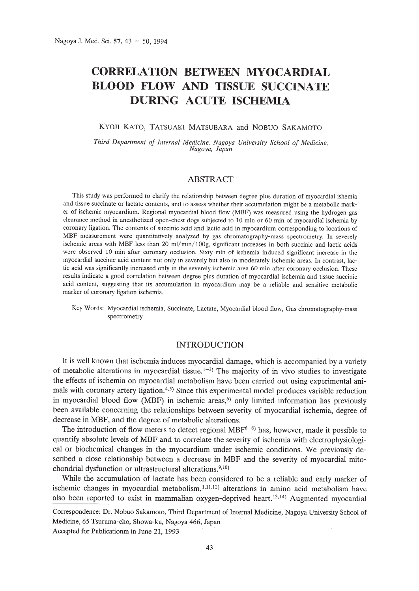# **CORRELATION BETWEEN MYOCARDIAL BLOOD FLOW AND TISSUE SUCCINATE DURING ACUTE ISCHEMIA**

## KYOJI KATO, TATSUAKI MATSUBARA and NOBUO SAKAMOTO

*Third Department of Internal Medicine, Nagoya University School of Medicine, Nagoya, Japan*

# ABSTRACT

This study was performed to clarify the relationship between degree plus duration of myocardial ishemia and tissue succinate or lactate contents, and to assess whether their accumulation might be a metabolic marker of ischemic myocardium. Regional myocardial blood flow (MBF) was measured using the hydrogen gas clearance method in anesthetized open-chest dogs subjected to 10 min or 60 min of myocardial ischemia by coronary ligation. The contents of succinic acid and lactic acid in myocardium corresponding to locations of MBF measurement were quantitatively analyzed by gas chromatography-mass spectrometry. In severely ischemic areas with MBF less than 20 ml/min/100g, significant increases in both succinic and lactic acids were observed 10 min after coronary occlusion. Sixty min of ischemia induced significant increase in the myocardial succinic acid content not only in severely but also in moderately ischemic areas. In contrast, lactic acid was significantly increased only in the severely ischemic area 60 min after coronary occlusion. These results indicate a good correlation between degree plus duration of myocardial ischemia and tissue succinic acid content, suggesting that its accumulation in myocardium may be a reliable and sensitive metabolic marker of coronary ligation ischemia.

### INTRODUCTION

It is well known that ischemia induces myocardial damage, which is accompanied by a variety of metabolic alterations in myocardial tissue.<sup>1-3)</sup> The majority of in vivo studies to investigate the effects of ischemia on myocardial metabolism have been carried out using experimental animals with coronary artery ligation.<sup>4,5)</sup> Since this experimental model produces variable reduction in myocardial blood flow (MBF) in ischemic areas,<sup>6)</sup> only limited information has previously been available concerning the relationships between severity of myocardial ischemia, degree of decrease in MBF, and the degree of metabolic alterations.

The introduction of flow meters to detect regional MB $F<sup>6-8</sup>$  has, however, made it possible to quantify absolute levels of MBF and to correlate the severity of ischemia with electrophysiological or biochemical changes in the myocardium under ischemic conditions. We previously described a close relationship between a decrease in MBF and the severity of myocardial mitochondrial dysfunction or ultrastructural alterations.<sup>9,10)</sup>

While the accumulation of lactate has been considered to be a reliable and early marker of ischemic changes in myocardial metabolism,  $1,11,12$  alterations in amino acid metabolism have also been reported to exist in mammalian oxygen-deprived heart. 13,14) Augmented myocardial

43

Key Words: Myocardial ischemia, Succinate, Lactate, Myocardial blood flow, Gas chromatography-mass spectrometry

Correspondence: Dr. Nobuo Sakamoto, Third Department of Internal Medicine, Nagoya University School of Medicine, 65 Tsuruma-cho, Showa-ku, Nagoya 466, Japan Accepted for Publicationm in June 21, 1993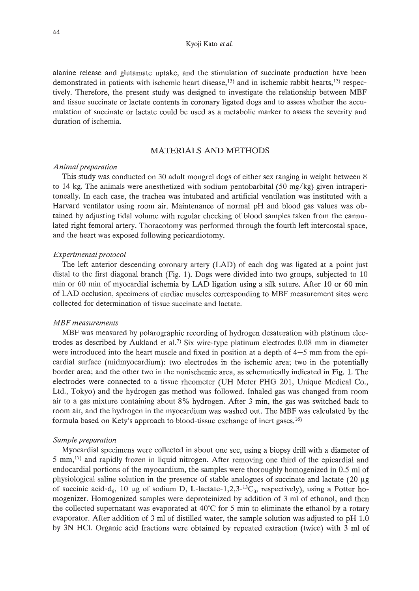alanine release and glutamate uptake, and the stimulation of succinate production have been demonstrated in patients with ischemic heart disease,<sup>15)</sup> and in ischemic rabbit hearts,<sup>13)</sup> respectively. Therefore, the present study was designed to investigate the relationship between MBF and tissue succinate or lactate contents in coronary ligated dogs and to assess whether the accumulation of succinate or lactate could be used as a metabolic marker to assess the severity and duration of ischemia.

# MATERIALS AND METHODS

# *Animalpreparation*

This study was conducted on 30 adult mongrel dogs of either sex ranging in weight between 8 to 14 kg. The animals were anesthetized with sodium pentobarbital (50 mg/kg) given intraperitoneally. In each case, the trachea was intubated and artificial ventilation was instituted with a Harvard ventilator using room air. Maintenance of normal pH and blood gas values was obtained by adjusting tidal volume with regular checking of blood samples taken from the cannulated right femoral artery. Thoracotomy was performed through the fourth left intercostal space, and the heart was exposed following pericardiotomy.

#### *Experimental protocol*

The left anterior descending coronary artery (LAD) of each dog was ligated at a point just distal to the first diagonal branch (Fig. 1). Dogs were divided into two groups, subjected to 10 min or 60 min of myocardial ischemia by LAD ligation using a silk suture. After 10 or 60 min of LAD occlusion, specimens of cardiac muscles corresponding to MBF measurement sites were collected for determination of tissue succinate and lactate.

## *MBF measurements*

MBF was measured by polarographic recording of hydrogen desaturation with platinum electrodes as described by Aukland et al.<sup>7)</sup> Six wire-type platinum electrodes 0.08 mm in diameter were introduced into the heart muscle and fixed in position at a depth of  $4-5$  mm from the epicardial surface (midmyocardium): two electrodes in the ischemic area; two in the potentially border area; and the other two in the nonischemic area, as schematically indicated in Fig. 1. The electrodes were connected to a tissue rheometer (UH Meter PHG 201, Unique Medical Co., Ltd., Tokyo) and the hydrogen gas method was followed. Inhaled gas was changed from room air to a gas mixture containing about 8% hydrogen. After 3 min, the gas was switched back to room air, and the hydrogen in the myocardium was washed out. The MBF was calculated by the formula based on Kety's approach to blood-tissue exchange of inert gases. 16)

#### *Sample preparation*

Myocardial specimens were collected in about one sec, using a biopsy drill with a diameter of 5 mm,17) and rapidly frozen in liquid nitrogen. After removing one third of the epicardial and endocardial portions of the myocardium, the samples were thoroughly homogenized in 0.5 ml of physiological saline solution in the presence of stable analogues of succinate and lactate  $(20 \mu g)$ of succinic acid-d<sub>6</sub>, 10 µg of sodium D, L-lactate-1,2,3- $^{13}C_3$ , respectively), using a Potter homogenizer. Homogenized samples were deproteinized by addition of 3 ml of ethanol, and then the collected supernatant was evaporated at  $40^{\circ}$ C for 5 min to eliminate the ethanol by a rotary evaporator. After addition of 3 ml of distilled water, the sample solution was adjusted to pH 1.0 by 3N HC!. Organic acid fractions were obtained by repeated extraction (twice) with 3 ml of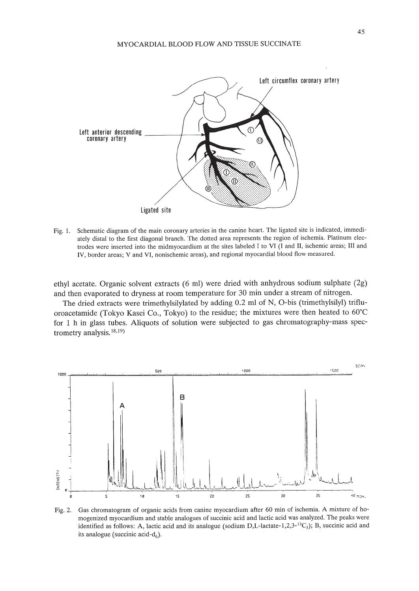

Fig. 1. Schematic diagram of the main coronary arteries in the canine heart. The ligated site is indicated, immediately distal to the first diagonal branch. The dotted area represents the region of ischemia. Platinum electrodes were inserted into the midmyocardium at the sites labeled I to VI (I and II, ischemic areas; III and IV, border areas; V and VI, nonischemic areas), and regional myocardial blood flow measured.

ethyl acetate. Organic solvent extracts (6 ml) were dried with anhydrous sodium sulphate (2g) and then evaporated to dryness at room temperature for 30 min under a stream of nitrogen.

The dried extracts were trimethylsilylated by adding 0.2 ml of N, O-bis (trimethylsilyl) trifluoroacetamide (Tokyo Kasei Co., Tokyo) to the residue; the mixtures were then heated to 60°C for 1 h in glass tubes. Aliquots of solution were subjected to gas chromatography-mass spectrometry analysis.<sup>18,19</sup>



Fig. 2. Gas chromatogram of organic acids from canine myocardium after 60 min of ischemia. A mixture of homogenized myocardium and stable analogues of succinic acid and lactic acid was analyzed. The peaks were identified as follows: A, lactic acid and its analogue (sodium D,L-lactate-1,2,3- $^{13}C_3$ ); B, succinic acid and its analogue (succinic acid- $d_6$ ).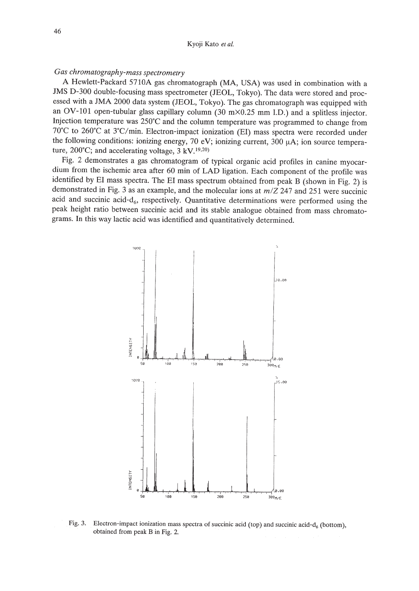#### Kyoji Kato et al.

# Gas chromatography-mass spectrometry

A Hewlett-Packard 5710A gas chromatograph (MA, USA) was used in combination with a JMS D-300 double-focusing mass spectrometer (JEOL, Tokyo). The data were stored and processed with a JMA 2000 data system (JEOL, Tokyo). The gas chromatograph was equipped with an OV-101 open-tubular glass capillary column (30 m $\times$ 0.25 mm I.D.) and a splitless injector. Injection temperature was 250°C and the column temperature was programmed to change from 70°C to 260°C at 3°C/min. Electron-impact ionization (EI) mass spectra were recorded under the following conditions: ionizing energy, 70 eV; ionizing current, 300  $\mu$ A; ion source temperature, 200°C; and accelerating voltage,  $3 \, \text{kV}$ , <sup>19,20</sup>)

Fig. 2 demonstrates a gas chromatogram of typical organic acid profiles in canine myocardium from the ischemic area after 60 min of LAD ligation. Each component of the profile was identified by EI mass spectra. The EI mass spectrum obtained from peak B (shown in Fig. 2) is demonstrated in Fig. 3 as an example, and the molecular ions at  $m/Z$  247 and 251 were succinic acid and succinic acid- $d_6$ , respectively. Quantitative determinations were performed using the peak height ratio between succinic acid and its stable analogue obtained from mass chromatograms. In this way lactic acid was identified and quantitatively determined.



Electron-impact ionization mass spectra of succinic acid (top) and succinic acid- $d_6$  (bottom), Fig. 3. obtained from peak B in Fig. 2.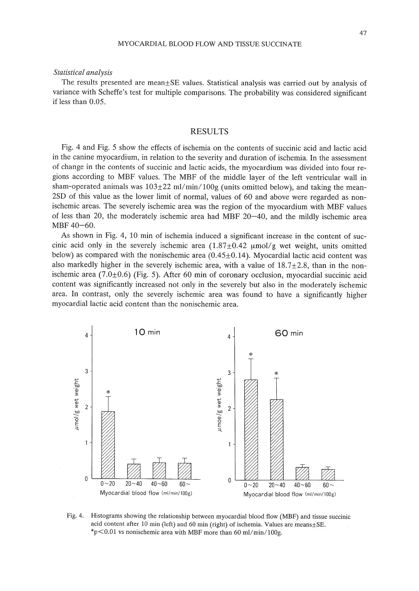# 47

#### *Statistical analysis*

The results presented are mean±SE values. Statistical analysis was carried out by analysis of variance with Scheffe's test for multiple comparisons. The probability was considered significant if less than 0.05.

# RESULTS

Fig. 4 and Fig. 5 show the effects of ischemia on the contents of succinic acid and lactic acid in the canine myocardium, in relation to the severity and duration of ischemia. In the assessment of change in the contents of succinic and lactic acids, the myocardium was divided into four regions according to MBF values. The MBF of the middle layer of the left ventricular wall in sham-operated animals was  $103\pm22$  ml/min/100g (units omitted below), and taking the mean-2SD of this value as the lower limit of normal, values of 60 and above were regarded as nonischemic areas. The severely ischemic area was the region of the myocardium with MBF values of less than 20, the moderately ischemic area had MBF 20-40, and the mildly ischemic area MBF 40-60.

As shown in Fig. 4, 10 min of ischemia induced a significant increase in the content of succinic acid only in the severely ischemic area  $(1.87\pm0.42 \text{ }\mu\text{mol/g}$  wet weight, units omitted below) as compared with the nonischemic area  $(0.45 \pm 0.14)$ . Myocardial lactic acid content was also markedly higher in the severely ischemic area, with a value of  $18.7\pm2.8$ , than in the nonischemic area  $(7.0\pm0.6)$  (Fig. 5). After 60 min of coronary occlusion, myocardial succinic acid content was significantly increased not only in the severely but also in the moderately ischemic area. In contrast, only the severely ischemic area was found to have a significantly higher myocardial lactic acid content than the nonischemic area.



Fig. 4. Histograms showing the relationship between myocardial blood flow (MBF) and tissue succinic acid content after 10 min (left) and 60 min (right) of ischemia. Values are means±SE. \*p $<$ 0.01 vs nonischemic area with MBF more than 60 ml/min/100g.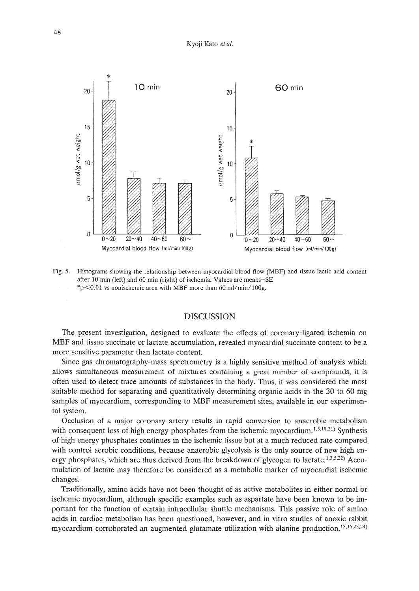

Fig. 5. Histograms showing the relationship between myocardial blood flow (MBF) and tissue lactic acid content after 10 min (left) and 60 min (right) of ischemia. Values are means $\pm$ SE. \*p $\leq 0.01$  vs nonischemic area with MBF more than 60 ml/min/100g.

# **DISCUSSION**

The present investigation, designed to evaluate the effects of coronary-ligated ischemia on MBF and tissue succinate or lactate accumulation, revealed myocardial succinate content to be a more sensitive parameter than lactate content.

Since gas chromatography-mass spectrometry is a highly sensitive method of analysis which allows simultaneous measurement of mixtures containing a great number of compounds, it is often used to detect trace amounts of substances in the body. Thus, it was considered the most suitable method for separating and quantitatively determining organic acids in the 30 to 60 mg samples of myocardium, corresponding to MBF measurement sites, available in our experimental system.

Occlusion of a major coronary artery results in rapid conversion to anaerobic metabolism with consequent loss of high energy phosphates from the ischemic myocardium.<sup>1,5,10,21</sup>) Synthesis of high energy phosphates continues in the ischemic tissue but at a much reduced rate compared with control aerobic conditions, because anaerobic glycolysis is the only source of new high energy phosphates, which are thus derived from the breakdown of glycogen to lactate.<sup>1,3,5,22</sup>) Accumulation of lactate may therefore be considered as a metabolic marker of myocardial ischemic changes.

Traditionally, amino acids have not been thought of as active metabolites in either normal or ischemic myocardium, although specific examples such as aspartate have been known to be important for the function of certain intracellular shuttle mechanisms. This passive role of amino acids in cardiac metabolism has been questioned, however, and in vitro studies of anoxic rabbit myocardium corroborated an augmented glutamate utilization with alanine production.<sup>13,15,23,24</sup>)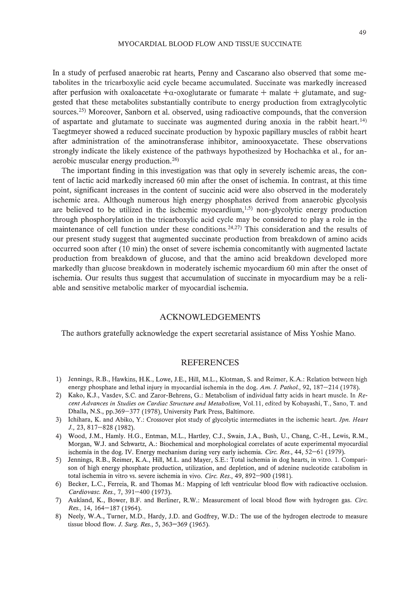In a study of perfused anaerobic rat hearts, Penny and Cascarano also observed that some metabolites in the tricarboxylic acid cycle became accumulated. Succinate was markedly increased after perfusion with oxaloacetate  $+\alpha$ -oxoglutarate or fumarate  $+$  malate  $+$  glutamate, and suggested that these metabolites substantially contribute to energy production from extraglycolytic sources.<sup>25)</sup> Moreover, Sanborn et al. observed, using radioactive compounds, that the conversion of aspartate and glutamate to succinate was augmented during anoxia in the rabbit heart.<sup>14)</sup> Taegtmeyer showed a reduced succinate production by hypoxic papillary muscles of rabbit heart after administration of the aminotransferase inhibitor, aminooxyacetate. These observations strongly indicate the likely existence of the pathways hypothesized by Hochachka et aI., for anaerobic muscular energy production. 26)

The important finding in this investigation was that only in severely ischemic areas, the content of lactic acid markedly increased 60 min after the onset of ischemia. In contrast, at this time point, significant increases in the content of succinic acid were also observed in the moderately ischemic area. Although numerous high energy phosphates derived from anaerobic glycolysis are believed to be utilized in the ischemic myocardium, $1.5$ ) non-glycolytic energy production through phosphorylation in the tricarboxylic acid cycle may be considered to play a role in the maintenance of cell function under these conditions.  $24,27$  This consideration and the results of our present study suggest that augmented succinate production from breakdown of amino acids occurred soon after (10 min) the onset of severe ischemia concomitantly with augmented lactate production from breakdown of glucose, and that the amino acid breakdown developed more markedly than glucose breakdown in moderately ischemic myocardium 60 min after the onset of ischemia. Our results thus suggest that accumulation of succinate in myocardium may be a reliable and sensitive metabolic marker of myocardial ischemia.

# ACKNOWLEDGEMENTS

The authors gratefully acknowledge the expert secretarial assistance of Miss Yoshie Mano.

#### REFERENCES

- 1) Jennings, R.B., Hawkins, H.K., Lowe, J.E., Hill, M.L., Klotman, S. and Reimer, K.A: Relation between high energy phosphate and lethal injury in myocardial ischemia in the dog. *Am, J. Pathol.,* 92, 187-214 (1978).
- 2) Kako, K.J., Vasdev, S.c. and Zaror-Behrens, G.: Metabolism of individual fatty acids in heart muscle. In *Recent Advances in Studies on Cardiac Structure and Metabolism,* Vol. 11, edited by Kobayashi, T., Sano, T. and Dhalla, N.S., pp.369-377 (1978), University Park Press, Baltimore.
- 3) Ichihara, K. and Abiko, Y: Crossover plot study of glycolytic intermediates in the ischemic heart. *Jpn. Heart* J., 23, 817-828 (1982).
- 4) Wood, J.M., Hamly. H.G., Entman, M.L., Hartley, c.J., Swain, J.A, Bush, U., Chang, C.-H., Lewis, R.M., Morgan, W.J. and Schwartz, A: Biochemical and morphological correlates of acute experimental myocardial ischemia in the dog. IV. Energy mechanism during very early ischemia. *Circ. Res.,* 44, 52-61 (1979).
- 5) Jennings, RB., Reimer, K.A, Hill, M.L. and Mayer, S.E.: Total ischemia in dog hearts, in vitro. 1. Comparison of high energy phosphate production, utilization, and depletion, and of adenine nucleotide catabolism in total ischemia in vitro vs. severe ischemia in vivo. *Cire. Res.,* 49, 892-900 (1981).
- 6) Becker, L.c., Ferreia, R and Thomas M.: Mapping of left ventricular blood flow with radioactive occlusion. *Cardiovasc. Res.,* 7, 391-400 (1973).
- 7) Aukland, K., Bower, B.F. and Berliner, RW.: Measurement of local blood flow with hydrogen gas. *Circ. Res.,* 14, 164-187 (1964).
- 8) Neely, W.A., Turner, M.D., Hardy, J.D. and Godfrey, W.D.: The use of the hydrogen electrode to measure tissue blood flow. *J. Surg. Res.,* 5, 363-369 (1965).